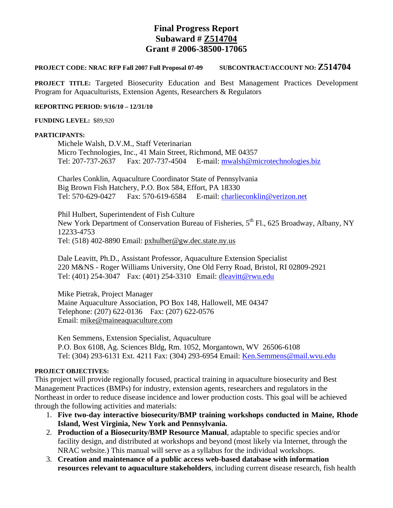# **Final Progress Report Subaward # Z514704 Grant # 2006-38500-17065**

## **PROJECT CODE: NRAC RFP Fall 2007 Full Proposal 07-09 SUBCONTRACT/ACCOUNT NO: Z514704**

**PROJECT TITLE:** Targeted Biosecurity Education and Best Management Practices Development Program for Aquaculturists, Extension Agents, Researchers & Regulators

#### **REPORTING PERIOD: 9/16/10 – 12/31/10**

#### **FUNDING LEVEL:** \$89,920

#### **PARTICIPANTS:**

 Michele Walsh, D.V.M., Staff Veterinarian Micro Technologies, Inc., 41 Main Street, Richmond, ME 04357 Tel: 207-737-2637 Fax: 207-737-4504 E-mail: mwalsh@microtechnologies.biz

Charles Conklin, Aquaculture Coordinator State of Pennsylvania Big Brown Fish Hatchery, P.O. Box 584, Effort, PA 18330 Tel: 570-629-0427 Fax: 570-619-6584 E-mail: charlieconklin@verizon.net

Phil Hulbert, Superintendent of Fish Culture New York Department of Conservation Bureau of Fisheries, 5<sup>th</sup> Fl., 625 Broadway, Albany, NY 12233-4753 Tel: (518) 402-8890 Email: pxhulber@gw.dec.state.ny.us

 Dale Leavitt, Ph.D., Assistant Professor, Aquaculture Extension Specialist 220 M&NS - Roger Williams University, One Old Ferry Road, Bristol, RI 02809-2921 Tel: (401) 254-3047 Fax: (401) 254-3310 Email: dleavitt@rwu.edu

Mike Pietrak, Project Manager Maine Aquaculture Association, PO Box 148, Hallowell, ME 04347 Telephone: (207) 622-0136 Fax: (207) 622-0576 Email: mike@maineaquaculture.com

Ken Semmens, Extension Specialist, Aquaculture P.O. Box 6108, Ag. Sciences Bldg, Rm. 1052, Morgantown, WV 26506-6108 Tel: (304) 293-6131 Ext. 4211 Fax: (304) 293-6954 Email: Ken.Semmens@mail.wvu.edu

## **PROJECT OBJECTIVES:**

This project will provide regionally focused, practical training in aquaculture biosecurity and Best Management Practices (BMPs) for industry, extension agents, researchers and regulators in the Northeast in order to reduce disease incidence and lower production costs. This goal will be achieved through the following activities and materials:

- 1. **Five two-day interactive biosecurity/BMP training workshops conducted in Maine, Rhode Island, West Virginia, New York and Pennsylvania.**
- 2. **Production of a Biosecurity/BMP Resource Manual**, adaptable to specific species and/or facility design, and distributed at workshops and beyond (most likely via Internet, through the NRAC website.) This manual will serve as a syllabus for the individual workshops.
- 3. **Creation and maintenance of a public access web-based database with information resources relevant to aquaculture stakeholders**, including current disease research, fish health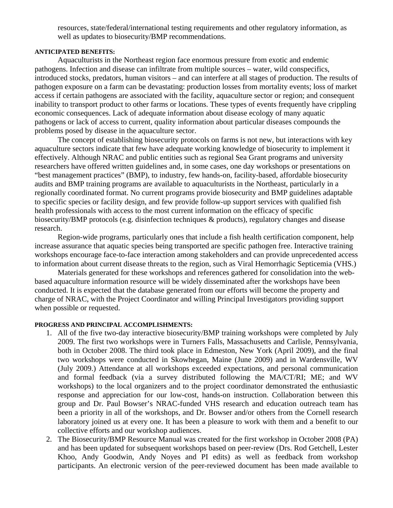resources, state/federal/international testing requirements and other regulatory information, as well as updates to biosecurity/BMP recommendations.

## **ANTICIPATED BENEFITS:**

Aquaculturists in the Northeast region face enormous pressure from exotic and endemic pathogens. Infection and disease can infiltrate from multiple sources – water, wild conspecifics, introduced stocks, predators, human visitors – and can interfere at all stages of production. The results of pathogen exposure on a farm can be devastating: production losses from mortality events; loss of market access if certain pathogens are associated with the facility, aquaculture sector or region; and consequent inability to transport product to other farms or locations. These types of events frequently have crippling economic consequences. Lack of adequate information about disease ecology of many aquatic pathogens or lack of access to current, quality information about particular diseases compounds the problems posed by disease in the aquaculture sector.

 The concept of establishing biosecurity protocols on farms is not new, but interactions with key aquaculture sectors indicate that few have adequate working knowledge of biosecurity to implement it effectively. Although NRAC and public entities such as regional Sea Grant programs and university researchers have offered written guidelines and, in some cases, one day workshops or presentations on "best management practices" (BMP), to industry, few hands-on, facility-based, affordable biosecurity audits and BMP training programs are available to aquaculturists in the Northeast, particularly in a regionally coordinated format. No current programs provide biosecurity and BMP guidelines adaptable to specific species or facility design, and few provide follow-up support services with qualified fish health professionals with access to the most current information on the efficacy of specific biosecurity/BMP protocols (e.g. disinfection techniques & products), regulatory changes and disease research.

Region-wide programs, particularly ones that include a fish health certification component, help increase assurance that aquatic species being transported are specific pathogen free. Interactive training workshops encourage face-to-face interaction among stakeholders and can provide unprecedented access to information about current disease threats to the region, such as Viral Hemorrhagic Septicemia (VHS.)

Materials generated for these workshops and references gathered for consolidation into the webbased aquaculture information resource will be widely disseminated after the workshops have been conducted. It is expected that the database generated from our efforts will become the property and charge of NRAC, with the Project Coordinator and willing Principal Investigators providing support when possible or requested.

# **PROGRESS AND PRINCIPAL ACCOMPLISHMENTS:**

- 1. All of the five two-day interactive biosecurity/BMP training workshops were completed by July 2009. The first two workshops were in Turners Falls, Massachusetts and Carlisle, Pennsylvania, both in October 2008. The third took place in Edmeston, New York (April 2009), and the final two workshops were conducted in Skowhegan, Maine (June 2009) and in Wardensville, WV (July 2009.) Attendance at all workshops exceeded expectations, and personal communication and formal feedback (via a survey distributed following the MA/CT/RI; ME; and WV workshops) to the local organizers and to the project coordinator demonstrated the enthusiastic response and appreciation for our low-cost, hands-on instruction. Collaboration between this group and Dr. Paul Bowser's NRAC-funded VHS research and education outreach team has been a priority in all of the workshops, and Dr. Bowser and/or others from the Cornell research laboratory joined us at every one. It has been a pleasure to work with them and a benefit to our collective efforts and our workshop audiences.
- 2. The Biosecurity/BMP Resource Manual was created for the first workshop in October 2008 (PA) and has been updated for subsequent workshops based on peer-review (Drs. Rod Getchell, Lester Khoo, Andy Goodwin, Andy Noyes and PI edits) as well as feedback from workshop participants. An electronic version of the peer-reviewed document has been made available to